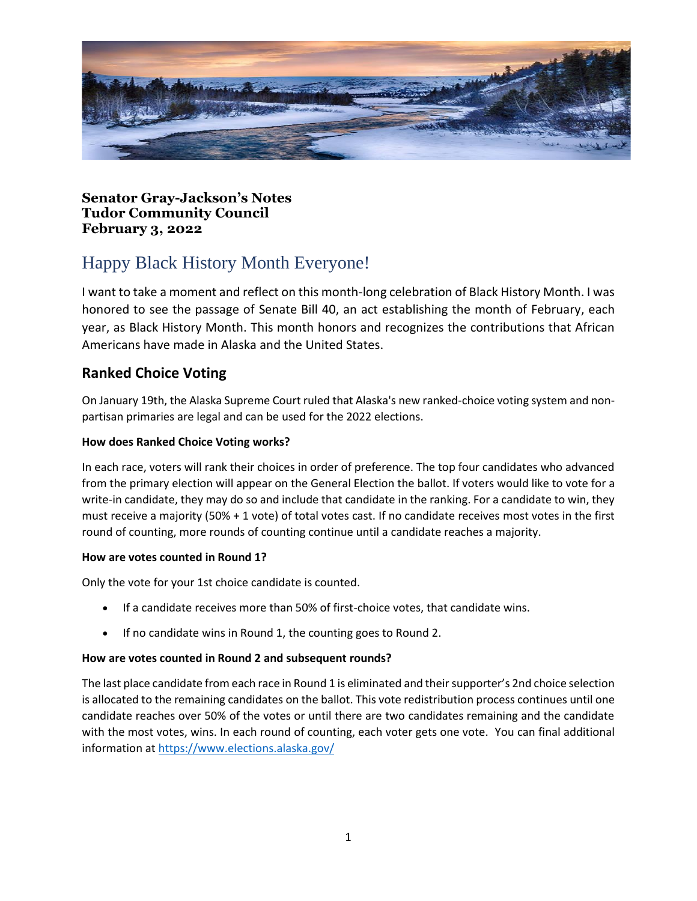

**Senator Gray-Jackson's Notes Tudor Community Council February 3, 2022**

# Happy Black History Month Everyone!

I want to take a moment and reflect on this month-long celebration of Black History Month. I was honored to see the passage of Senate Bill 40, an act establishing the month of February, each year, as Black History Month. This month honors and recognizes the contributions that African Americans have made in Alaska and the United States.

### **Ranked Choice Voting**

On January 19th, the Alaska Supreme Court ruled that Alaska's new ranked-choice voting system and nonpartisan primaries are legal and can be used for the 2022 elections.

#### **How does Ranked Choice Voting works?**

In each race, voters will rank their choices in order of preference. The top four candidates who advanced from the primary election will appear on the General Election the ballot. If voters would like to vote for a write-in candidate, they may do so and include that candidate in the ranking. For a candidate to win, they must receive a majority (50% + 1 vote) of total votes cast. If no candidate receives most votes in the first round of counting, more rounds of counting continue until a candidate reaches a majority.

#### **How are votes counted in Round 1?**

Only the vote for your 1st choice candidate is counted.

- If a candidate receives more than 50% of first-choice votes, that candidate wins.
- If no candidate wins in Round 1, the counting goes to Round 2.

#### **How are votes counted in Round 2 and subsequent rounds?**

The last place candidate from each race in Round 1 is eliminated and their supporter's 2nd choice selection is allocated to the remaining candidates on the ballot. This vote redistribution process continues until one candidate reaches over 50% of the votes or until there are two candidates remaining and the candidate with the most votes, wins. In each round of counting, each voter gets one vote. You can final additional information at<https://www.elections.alaska.gov/>